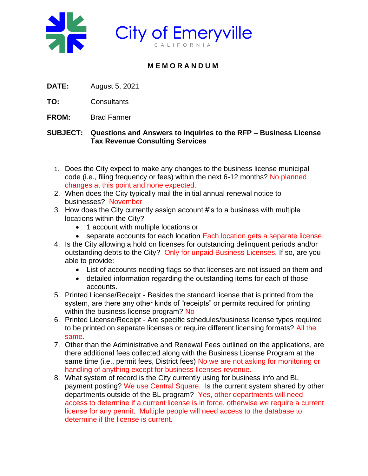



## **M E M O R A N D U M**

- **DATE:** August 5, 2021
- **TO:** Consultants
- **FROM:** Brad Farmer

## **SUBJECT: Questions and Answers to inquiries to the RFP – Business License Tax Revenue Consulting Services**

- 1. Does the City expect to make any changes to the business license municipal code (i.e., filing frequency or fees) within the next 6-12 months? No planned changes at this point and none expected.
- 2. When does the City typically mail the initial annual renewal notice to businesses? November
- 3. How does the City currently assign account #'s to a business with multiple locations within the City?
	- 1 account with multiple locations or
	- separate accounts for each location Each location gets a separate license.
- 4. Is the City allowing a hold on licenses for outstanding delinquent periods and/or outstanding debts to the City? Only for unpaid Business Licenses. If so, are you able to provide:
	- List of accounts needing flags so that licenses are not issued on them and
	- detailed information regarding the outstanding items for each of those accounts.
- 5. Printed License/Receipt Besides the standard license that is printed from the system, are there any other kinds of "receipts" or permits required for printing within the business license program? No
- 6. Printed License/Receipt Are specific schedules/business license types required to be printed on separate licenses or require different licensing formats? All the same.
- 7. Other than the Administrative and Renewal Fees outlined on the applications, are there additional fees collected along with the Business License Program at the same time (i.e., permit fees, District fees) No we are not asking for monitoring or handling of anything except for business licenses revenue.
- 8. What system of record is the City currently using for business info and BL payment posting? We use Central Square. Is the current system shared by other departments outside of the BL program? Yes, other departments will need access to determine if a current license is in force, otherwise we require a current license for any permit. Multiple people will need access to the database to determine if the license is current.